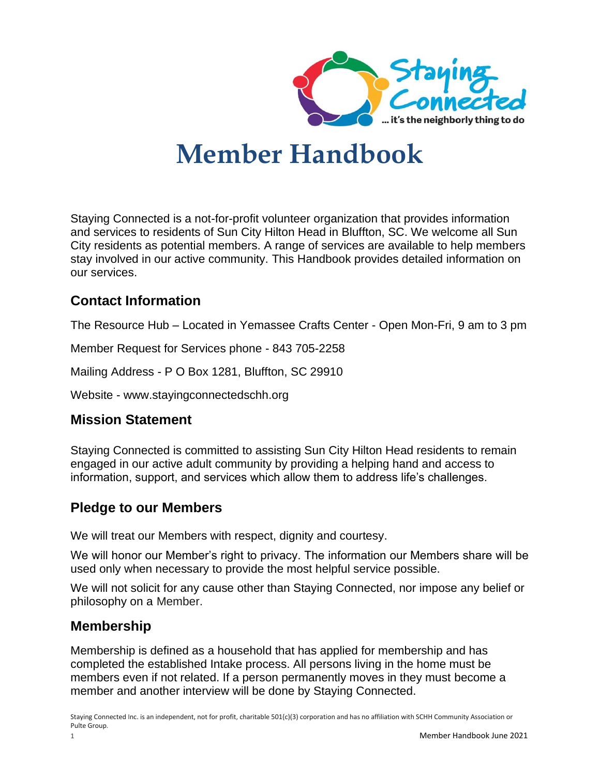

# **Member Handbook**

Staying Connected is a not-for-profit volunteer organization that provides information and services to residents of Sun City Hilton Head in Bluffton, SC. We welcome all Sun City residents as potential members. A range of services are available to help members stay involved in our active community. This Handbook provides detailed information on our services.

# **Contact Information**

The Resource Hub – Located in Yemassee Crafts Center - Open Mon-Fri, 9 am to 3 pm

Member Request for Services phone - 843 705-2258

Mailing Address - P O Box 1281, Bluffton, SC 29910

Website - www.stayingconnectedschh.org

# **Mission Statement**

Staying Connected is committed to assisting Sun City Hilton Head residents to remain engaged in our active adult community by providing a helping hand and access to information, support, and services which allow them to address life's challenges.

# **Pledge to our Members**

We will treat our Members with respect, dignity and courtesy.

We will honor our Member's right to privacy. The information our Members share will be used only when necessary to provide the most helpful service possible.

We will not solicit for any cause other than Staying Connected, nor impose any belief or philosophy on a Member.

# **Membership**

Membership is defined as a household that has applied for membership and has completed the established Intake process. All persons living in the home must be members even if not related. If a person permanently moves in they must become a member and another interview will be done by Staying Connected.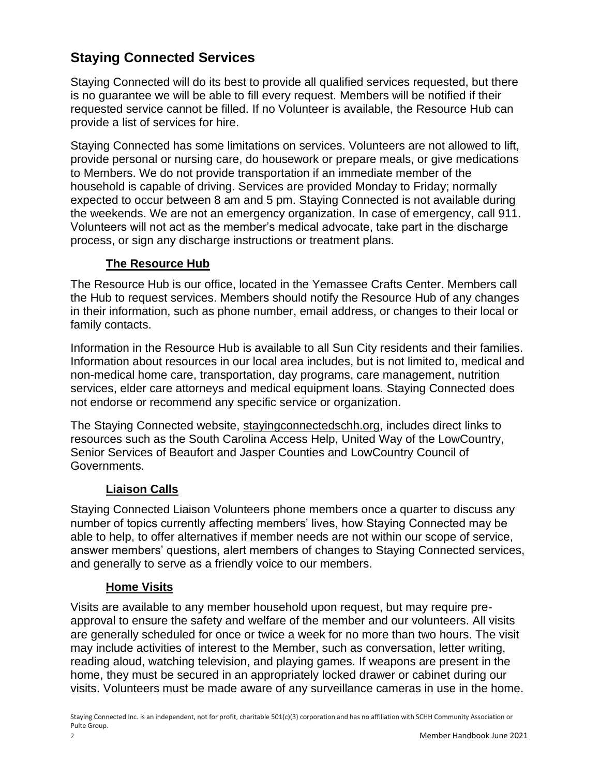# **Staying Connected Services**

Staying Connected will do its best to provide all qualified services requested, but there is no guarantee we will be able to fill every request. Members will be notified if their requested service cannot be filled. If no Volunteer is available, the Resource Hub can provide a list of services for hire.

Staying Connected has some limitations on services. Volunteers are not allowed to lift, provide personal or nursing care, do housework or prepare meals, or give medications to Members. We do not provide transportation if an immediate member of the household is capable of driving. Services are provided Monday to Friday; normally expected to occur between 8 am and 5 pm. Staying Connected is not available during the weekends. We are not an emergency organization. In case of emergency, call 911. Volunteers will not act as the member's medical advocate, take part in the discharge process, or sign any discharge instructions or treatment plans.

#### **The Resource Hub**

The Resource Hub is our office, located in the Yemassee Crafts Center. Members call the Hub to request services. Members should notify the Resource Hub of any changes in their information, such as phone number, email address, or changes to their local or family contacts.

Information in the Resource Hub is available to all Sun City residents and their families. Information about resources in our local area includes, but is not limited to, medical and non-medical home care, transportation, day programs, care management, nutrition services, elder care attorneys and medical equipment loans. Staying Connected does not endorse or recommend any specific service or organization.

The Staying Connected website, stayingconnectedschh.org, includes direct links to resources such as the South Carolina Access Help, United Way of the LowCountry, Senior Services of Beaufort and Jasper Counties and LowCountry Council of Governments.

#### **Liaison Calls**

Staying Connected Liaison Volunteers phone members once a quarter to discuss any number of topics currently affecting members' lives, how Staying Connected may be able to help, to offer alternatives if member needs are not within our scope of service, answer members' questions, alert members of changes to Staying Connected services, and generally to serve as a friendly voice to our members.

#### **Home Visits**

Visits are available to any member household upon request, but may require preapproval to ensure the safety and welfare of the member and our volunteers. All visits are generally scheduled for once or twice a week for no more than two hours. The visit may include activities of interest to the Member, such as conversation, letter writing, reading aloud, watching television, and playing games. If weapons are present in the home, they must be secured in an appropriately locked drawer or cabinet during our visits. Volunteers must be made aware of any surveillance cameras in use in the home.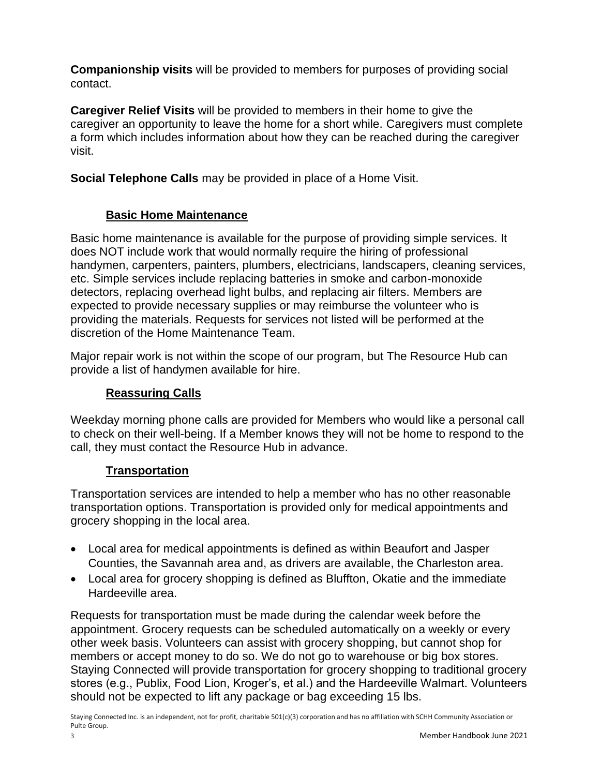**Companionship visits** will be provided to members for purposes of providing social contact.

**Caregiver Relief Visits** will be provided to members in their home to give the caregiver an opportunity to leave the home for a short while. Caregivers must complete a form which includes information about how they can be reached during the caregiver visit.

**Social Telephone Calls** may be provided in place of a Home Visit.

#### **Basic Home Maintenance**

Basic home maintenance is available for the purpose of providing simple services. It does NOT include work that would normally require the hiring of professional handymen, carpenters, painters, plumbers, electricians, landscapers, cleaning services, etc. Simple services include replacing batteries in smoke and carbon-monoxide detectors, replacing overhead light bulbs, and replacing air filters. Members are expected to provide necessary supplies or may reimburse the volunteer who is providing the materials. Requests for services not listed will be performed at the discretion of the Home Maintenance Team.

Major repair work is not within the scope of our program, but The Resource Hub can provide a list of handymen available for hire.

#### **Reassuring Calls**

Weekday morning phone calls are provided for Members who would like a personal call to check on their well-being. If a Member knows they will not be home to respond to the call, they must contact the Resource Hub in advance.

#### **Transportation**

Transportation services are intended to help a member who has no other reasonable transportation options. Transportation is provided only for medical appointments and grocery shopping in the local area.

- Local area for medical appointments is defined as within Beaufort and Jasper Counties, the Savannah area and, as drivers are available, the Charleston area.
- Local area for grocery shopping is defined as Bluffton, Okatie and the immediate Hardeeville area.

Requests for transportation must be made during the calendar week before the appointment. Grocery requests can be scheduled automatically on a weekly or every other week basis. Volunteers can assist with grocery shopping, but cannot shop for members or accept money to do so. We do not go to warehouse or big box stores. Staying Connected will provide transportation for grocery shopping to traditional grocery stores (e.g., Publix, Food Lion, Kroger's, et al.) and the Hardeeville Walmart. Volunteers should not be expected to lift any package or bag exceeding 15 lbs.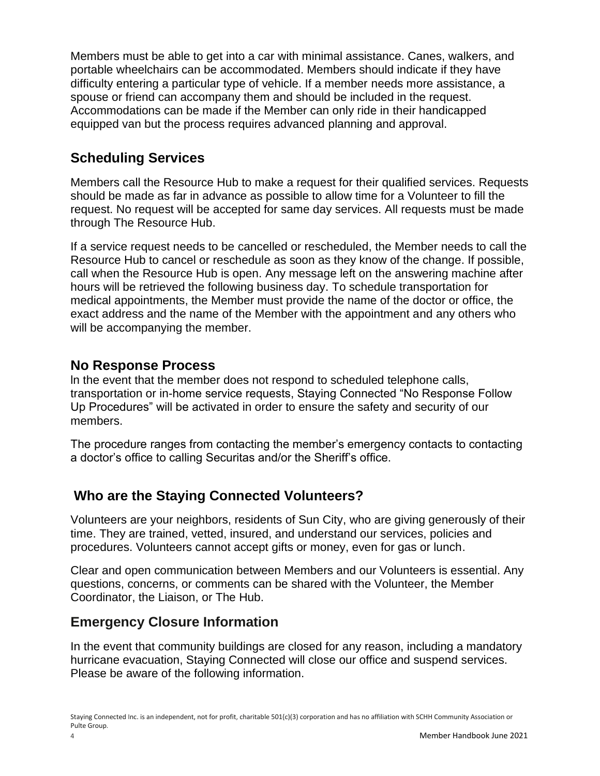Members must be able to get into a car with minimal assistance. Canes, walkers, and portable wheelchairs can be accommodated. Members should indicate if they have difficulty entering a particular type of vehicle. If a member needs more assistance, a spouse or friend can accompany them and should be included in the request. Accommodations can be made if the Member can only ride in their handicapped equipped van but the process requires advanced planning and approval.

# **Scheduling Services**

Members call the Resource Hub to make a request for their qualified services. Requests should be made as far in advance as possible to allow time for a Volunteer to fill the request. No request will be accepted for same day services. All requests must be made through The Resource Hub.

If a service request needs to be cancelled or rescheduled, the Member needs to call the Resource Hub to cancel or reschedule as soon as they know of the change. If possible, call when the Resource Hub is open. Any message left on the answering machine after hours will be retrieved the following business day. To schedule transportation for medical appointments, the Member must provide the name of the doctor or office, the exact address and the name of the Member with the appointment and any others who will be accompanying the member.

# **No Response Process**

ln the event that the member does not respond to scheduled telephone calls, transportation or in-home service requests, Staying Connected "No Response Follow Up Procedures" will be activated in order to ensure the safety and security of our members.

The procedure ranges from contacting the member's emergency contacts to contacting a doctor's office to calling Securitas and/or the Sheriff's office.

# **Who are the Staying Connected Volunteers?**

Volunteers are your neighbors, residents of Sun City, who are giving generously of their time. They are trained, vetted, insured, and understand our services, policies and procedures. Volunteers cannot accept gifts or money, even for gas or lunch.

Clear and open communication between Members and our Volunteers is essential. Any questions, concerns, or comments can be shared with the Volunteer, the Member Coordinator, the Liaison, or The Hub.

# **Emergency Closure Information**

In the event that community buildings are closed for any reason, including a mandatory hurricane evacuation, Staying Connected will close our office and suspend services. Please be aware of the following information.